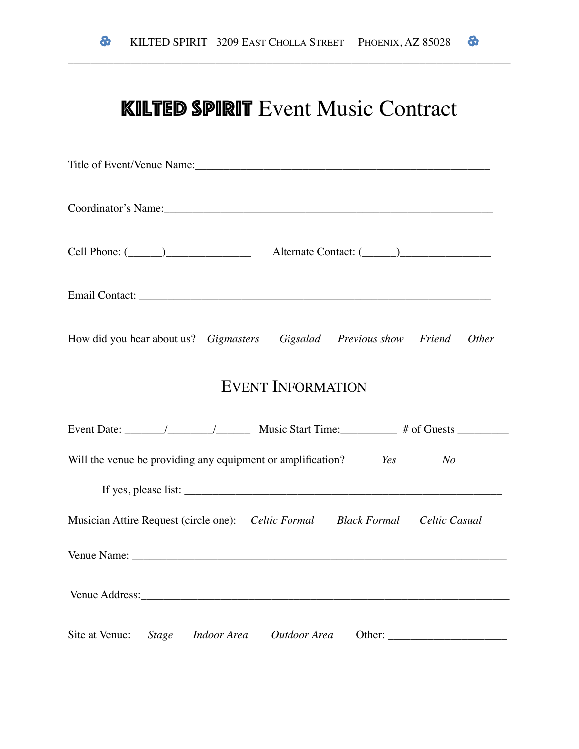## **KILTED SPIRIT Event Music Contract**

| How did you hear about us? Gigmasters Gigsalad Previous show Friend Other                                                                                                                                                        |
|----------------------------------------------------------------------------------------------------------------------------------------------------------------------------------------------------------------------------------|
| <b>EVENT INFORMATION</b>                                                                                                                                                                                                         |
|                                                                                                                                                                                                                                  |
| Will the venue be providing any equipment or amplification? Yes No                                                                                                                                                               |
| If yes, please list: $\frac{1}{2}$ is the set of the set of the set of the set of the set of the set of the set of the set of the set of the set of the set of the set of the set of the set of the set of the set of the set of |
| Musician Attire Request (circle one): Celtic Formal Black Formal Celtic Casual                                                                                                                                                   |
|                                                                                                                                                                                                                                  |
|                                                                                                                                                                                                                                  |
| Site at Venue: Stage Indoor Area Outdoor Area                                                                                                                                                                                    |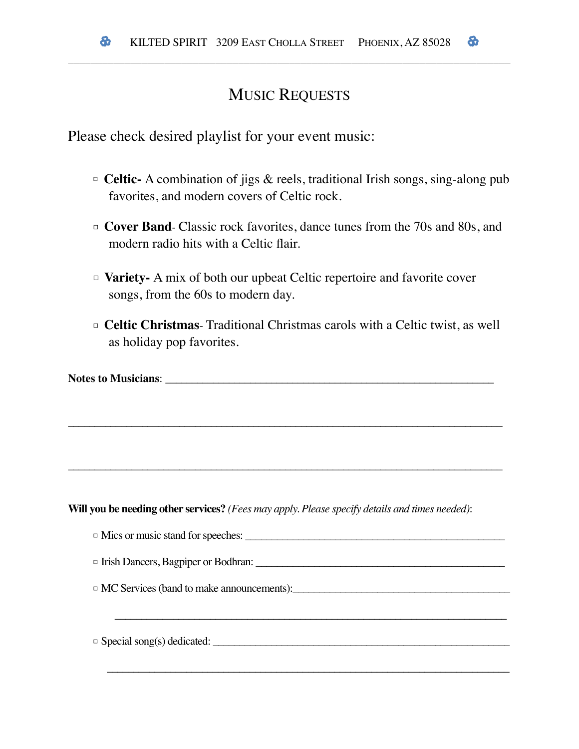## MUSIC REQUESTS

Please check desired playlist for your event music:

- □ **Celtic-** A combination of jigs & reels, traditional Irish songs, sing-along pub favorites, and modern covers of Celtic rock.
- □ **Cover Band** Classic rock favorites, dance tunes from the 70s and 80s, and modern radio hits with a Celtic flair.
- □ **Variety-** A mix of both our upbeat Celtic repertoire and favorite cover songs, from the 60s to modern day.

\_\_\_\_\_\_\_\_\_\_\_\_\_\_\_\_\_\_\_\_\_\_\_\_\_\_\_\_\_\_\_\_\_\_\_\_\_\_\_\_\_\_\_\_\_\_\_\_\_\_\_\_\_\_\_\_\_\_\_\_\_\_\_\_\_\_\_\_\_\_\_\_\_\_\_\_\_\_\_\_\_\_

\_\_\_\_\_\_\_\_\_\_\_\_\_\_\_\_\_\_\_\_\_\_\_\_\_\_\_\_\_\_\_\_\_\_\_\_\_\_\_\_\_\_\_\_\_\_\_\_\_\_\_\_\_\_\_\_\_\_\_\_\_\_\_\_\_\_\_\_\_\_\_\_\_\_\_\_\_\_\_\_\_\_

□ **Celtic Christmas**- Traditional Christmas carols with a Celtic twist, as well as holiday pop favorites.

| <b>Notes to Musicians:</b> |  |
|----------------------------|--|
|----------------------------|--|

**Will you be needing other services?** *(Fees may apply. Please specify details and times needed)*:

□ Mics or music stand for speeches: \_\_\_\_\_\_\_\_\_\_\_\_\_\_\_\_\_\_\_\_\_\_\_\_\_\_\_\_\_\_\_\_\_\_\_\_\_\_\_\_\_\_\_\_\_\_\_\_\_

□ Irish Dancers, Bagpiper or Bodhran: \_\_\_\_\_\_\_\_\_\_\_\_\_\_\_\_\_\_\_\_\_\_\_\_\_\_\_\_\_\_\_\_\_\_\_\_\_\_\_\_\_\_\_\_\_\_\_

\_\_\_\_\_\_\_\_\_\_\_\_\_\_\_\_\_\_\_\_\_\_\_\_\_\_\_\_\_\_\_\_\_\_\_\_\_\_\_\_\_\_\_\_\_\_\_\_\_\_\_\_\_\_\_\_\_\_\_\_\_\_\_\_\_\_\_\_\_\_\_\_\_\_

\_\_\_\_\_\_\_\_\_\_\_\_\_\_\_\_\_\_\_\_\_\_\_\_\_\_\_\_\_\_\_\_\_\_\_\_\_\_\_\_\_\_\_\_\_\_\_\_\_\_\_\_\_\_\_\_\_\_\_\_\_\_\_\_\_\_\_\_\_\_\_\_\_\_\_\_

 $\Box$  MC Services (band to make announcements):

□ Special song(s) dedicated: \_\_\_\_\_\_\_\_\_\_\_\_\_\_\_\_\_\_\_\_\_\_\_\_\_\_\_\_\_\_\_\_\_\_\_\_\_\_\_\_\_\_\_\_\_\_\_\_\_\_\_\_\_\_\_\_

 $\boldsymbol{\delta}$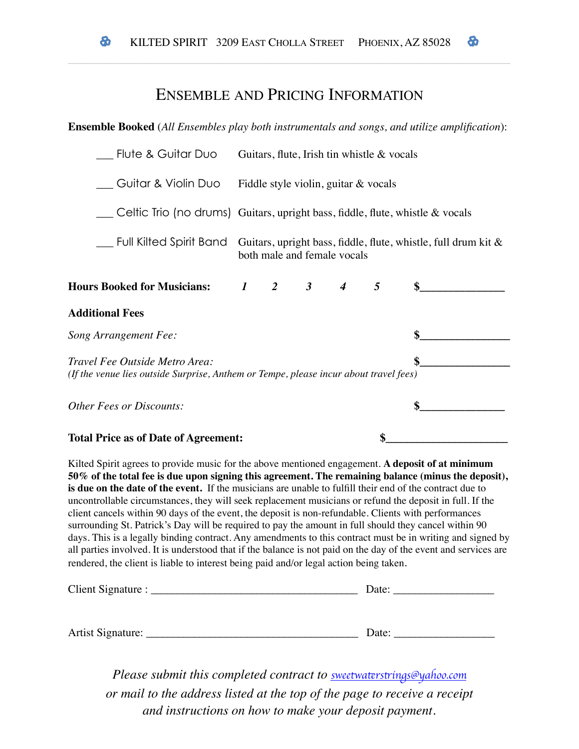### ENSEMBLE AND PRICING INFORMATION

#### **Ensemble Booked** (*All Ensembles play both instrumentals and songs, and utilize amplification*):

| Flute & Guitar Duo                                                                                                      |  |                     |                             | Guitars, flute, Irish tin whistle $\&$ vocals |                                                                   |
|-------------------------------------------------------------------------------------------------------------------------|--|---------------------|-----------------------------|-----------------------------------------------|-------------------------------------------------------------------|
| Guitar & Violin Duo Fiddle style violin, guitar & vocals                                                                |  |                     |                             |                                               |                                                                   |
| Celtic Trio (no drums) Guitars, upright bass, fiddle, flute, whistle & vocals                                           |  |                     |                             |                                               |                                                                   |
| Full Kilted Spirit Band                                                                                                 |  |                     | both male and female vocals |                                               | Guitars, upright bass, fiddle, flute, whistle, full drum kit $\&$ |
| <b>Hours Booked for Musicians:</b>                                                                                      |  | $1 \quad 2 \quad 3$ | $\overline{4}$              | 5                                             | \$                                                                |
| <b>Additional Fees</b>                                                                                                  |  |                     |                             |                                               |                                                                   |
| <b>Song Arrangement Fee:</b>                                                                                            |  |                     |                             |                                               |                                                                   |
| Travel Fee Outside Metro Area:<br>(If the venue lies outside Surprise, Anthem or Tempe, please incur about travel fees) |  |                     |                             |                                               |                                                                   |
| Other Fees or Discounts:                                                                                                |  |                     |                             |                                               |                                                                   |
| <b>Total Price as of Date of Agreement:</b>                                                                             |  |                     |                             |                                               |                                                                   |

Kilted Spirit agrees to provide music for the above mentioned engagement. **A deposit of at minimum 50% of the total fee is due upon signing this agreement. The remaining balance (minus the deposit), is due on the date of the event.** If the musicians are unable to fulfill their end of the contract due to uncontrollable circumstances, they will seek replacement musicians or refund the deposit in full. If the client cancels within 90 days of the event, the deposit is non-refundable. Clients with performances surrounding St. Patrick's Day will be required to pay the amount in full should they cancel within 90 days. This is a legally binding contract. Any amendments to this contract must be in writing and signed by all parties involved. It is understood that if the balance is not paid on the day of the event and services are rendered, the client is liable to interest being paid and/or legal action being taken.

| Client Signature : | Date: |
|--------------------|-------|
|                    |       |
|                    |       |
| Artist Signature:  | Date: |

*Please submit this completed contract to <u><i>sweetwaterstr[ings@yahoo.com](mailto:sweetwaterstrings@yahoo.com)*</u></u> *or mail to the address listed at the top of the page to receive a receipt and instructions on how to make your deposit payment.*